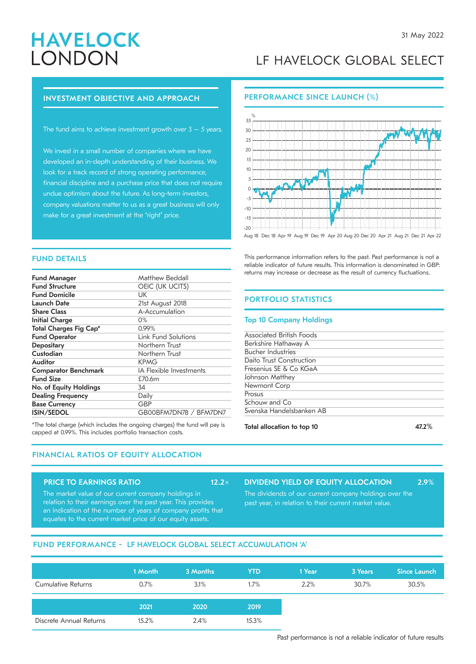# **HAVELOCK** LONDON

# LF HAVELOCK GLOBAL SELECT

# INVESTMENT OBJECTIVE AND APPROACH

The fund aims to achieve investment growth over  $3 - 5$  years.

We invest in a small number of companies where we have developed an in-depth understanding of their business. We look for a track record of strong operating performance, financial discipline and a purchase price that does not require undue optimism about the future. As long-term investors, company valuations matter to us as a great business will only make for a great investment at the "right" price.

# PERFORMANCE SINCE LAUNCH (%)



Aug 18 Dec 18 Apr 19 Aug 19 Dec 19 Apr 20 Aug 20 Dec 20 Apr 21 Aug 21 Dec 21 Apr 22

This performance information refers to the past. Past performance is not a reliable indicator of future results. This information is denominated in GBP: returns may increase or decrease as the result of currency fluctuations.

# PORTFOLIO STATISTICS

## Top 10 Company Holdings

| .                        | $- - - -$ |
|--------------------------|-----------|
| Svenska Handelsbanken AB |           |
| Schouw and Co            |           |
| Prosus                   |           |
| Newmont Corp             |           |
| Johnson Matthey          |           |
| Fresenius SE & Co KGaA   |           |
| Daito Trust Construction |           |
| <b>Bucher Industries</b> |           |
| Berkshire Hathaway A     |           |
| Associated British Foods |           |
|                          |           |

# FUND DETAILS

| <b>Fund Manager</b>           | Matthew Beddall                |
|-------------------------------|--------------------------------|
| <b>Fund Structure</b>         | OEIC (UK UCITS)                |
| <b>Fund Domicile</b>          | UК                             |
| <b>Launch Date</b>            | 21st August 2018               |
| <b>Share Class</b>            | A-Accumulation                 |
| Initial Charge                | 0%                             |
| <b>Total Charges Fig Cap*</b> | $0.99\%$                       |
| <b>Fund Operator</b>          | <b>Link Fund Solutions</b>     |
| <b>Depositary</b>             | Northern Trust                 |
| Custodian                     | Northern Trust                 |
| Auditor                       | <b>KPMG</b>                    |
| <b>Comparator Benchmark</b>   | <b>IA Flexible Investments</b> |
| <b>Fund Size</b>              | £70.6m                         |
| No. of Equity Holdings        | 34                             |
| <b>Dealing Frequency</b>      | Daily                          |
| <b>Base Currency</b>          | GBP                            |
| <b>ISIN/SEDOL</b>             | GB00BFM7DN78 / BFM7DN7         |

\*The total charge (which includes the ongoing charges) the fund will pay is **Total allocation to top 10 10** 47.2% capped at 0.99%. This includes portfolio transaction costs.

# FINANCIAL RATIOS OF EQUITY ALLOCATION

# PRICE TO EARNINGS RATIO 12.2×

The market value of our current company holdings in relation to their earnings over the past year. This provides an indication of the number of years of company profits that equates to the current market price of our equity assets.

DIVIDEND YIELD OF EQUITY ALLOCATION 2.9%

The dividends of our current company holdings over the past year, in relation to their current market value.

# FUND PERFORMANCE - LF HAVELOCK GLOBAL SELECT ACCUMULATION 'A'

|                         | 1 Month | 3 Months | <b>YTD</b> | 1 Year | 3 Years | <b>Since Launch</b> |
|-------------------------|---------|----------|------------|--------|---------|---------------------|
| Cumulative Returns      | 0.7%    | 3.1%     | 1.7%       | 2.2%   | 30.7%   | 30.5%               |
|                         | 2021    | 2020     | 2019       |        |         |                     |
| Discrete Annual Returns | 15.2%   | 2.4%     | 15.3%      |        |         |                     |